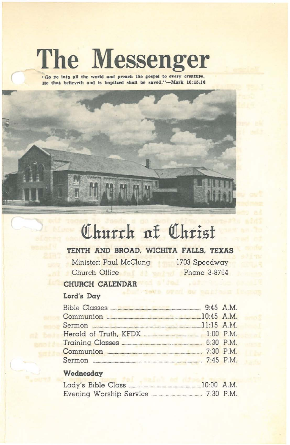# **The Messenger**

**"Go ye Into all the world and preaeb the rosPflI to every creature. He** that believeth and is baptized shall be saved."-Mark 16:15,16



# Church of Christ

# **TENTH AND BROAD. WICHITA FALLS. TEXAS**

Minister: Paul McClung 1703 Speedway Church Office Phone 3-8764

## **CHURCH CALENDAR**

# Lord's **Day**

| Communion 20145 A.M. |  |
|----------------------|--|
|                      |  |
|                      |  |
|                      |  |
| Communion 2.30 P.M.  |  |
|                      |  |
|                      |  |

### **Wednesday**

| Lady's Bible Class.     |  |  | $10:00$ A.M. |
|-------------------------|--|--|--------------|
| Evening Worship Service |  |  | $7:30$ P.M.  |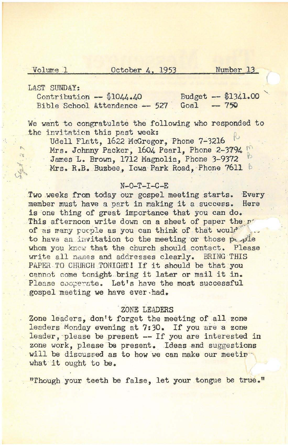#### Volume 1 October 4, 1953 Number 13

LAST SUNDAY:<br>
Contribution -  $$1044.40$ <br>
Bible School Attendance -- 527 Goal -- 750 Bible School Attendance  $-$  527

We want to congratulate the following who responded to the invitation this past week:

Udell Flatt, 1622 McGregor. Phone 7-3216 Mrs. Johnny Packer, 1604 Pearl, Phone 2-3794 James L. Brown, 1712 Magnolia, Phone 3-9372 Mrs. R.B. Buzbee., Iowa Park Road, Phone 7611 b

#### $N-O-T-I-C-E$

Two weeks from today our gospel meeting starts. Every member must have <sup>a</sup> part in making it <sup>a</sup> success. Here is one thing of great importance that you can do. This afternoon write down on a sheet of paper the r of as many people as you can think of that would to have an invitation to the meeting or those people whom you know that the church should contact. Please write all names and addresses clearly. BRING THIS PAPER TO CHURCH TONIGHT! If it should be that you cannot come tonight bring it later or mail it in. Please cooperate. Let's have the most successful gospel meeting we have ever-had•

#### . ZONE LEADERS

*Zone* leaders, don't forget the meeting of all zone leaders Monday evening at 7:30. If you are a zone leader, please be present -- If you are interested in zone work, please be present. Ideas and suggestions will be discussed as to how we can make our meetinwhat it ought to be.

"Though your teeth be false, let your tongue be true."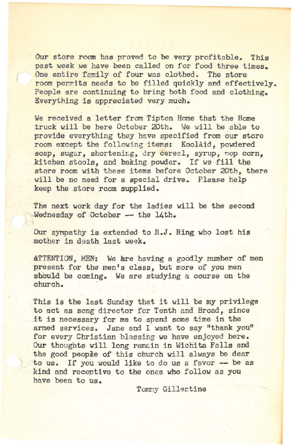Our store room has proved to be very profitable. This past week we have been called on for food three times. One entire family of four was clothed. The store room permits needs to be filled quickly and effectively. People are continuing to bring both food and clothing. Everything is appreciated very much.

We received a letter from Tipton Home that the Home .truck will be here October 20th. 'Ne will be able to provide everything they have specified from our store room except the following items: KoolAid, powdered soap, sugar, shortening, dry cereal, syrup, nop corn, kitchen stools, and baking powder. If we fill the store room with these items before October 20th. there will be no need for a special drive. Please help keep the store room supplied.

The next work day for the ladies will be the second Wednesday of October -- the 14th.

Our sympathy is extended to R.J. Ring who lost his ·mother in death last week.

ATTENTION, MEN: We are having a goodly number of men present for the men's class, but more of you men should be coming. We are studying a course on the church. .

This is the last Sunday that it will be my privilege to act as song director for Tenth and Broad, since it is necessary for me to spend some time in the armed services. Jane and I want to say "thank you" for every Christian blessing we have enjoyed here. Our thoughts will long remcin in Wichita Falls and the good people of this church will always be dear to us. If you would like to do us a favor -- be as kind and receptive to the ones who follow as you have been to us.

Tommy Gillentine